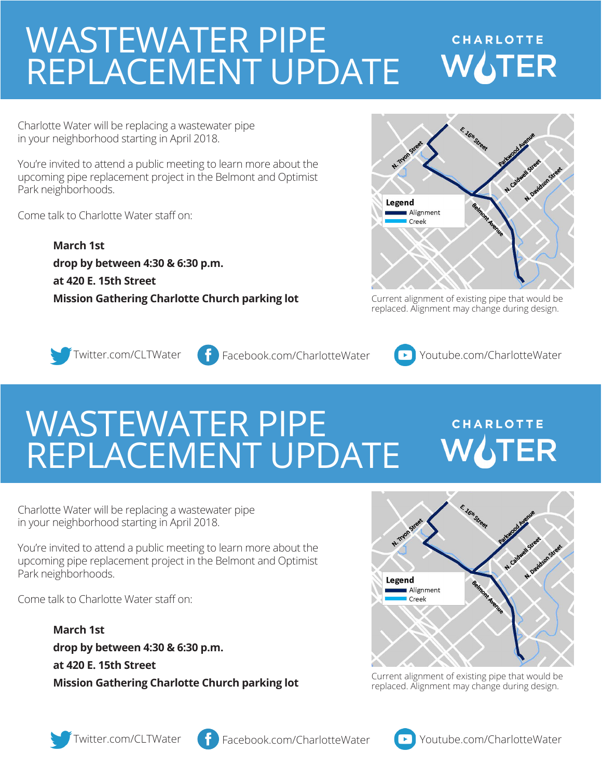## WASTEWATER PIPE **CHARLOTTE WATER** REPLACEMENT UPDATE

Charlotte Water will be replacing a wastewater pipe in your neighborhood starting in April 2018.

You're invited to attend a public meeting to learn more about the upcoming pipe replacement project in the Belmont and Optimist Park neighborhoods.

Come talk to Charlotte Water staff on:

**March 1st drop by between 4:30 & 6:30 p.m. at 420 E. 15th Street** 



**Mission Gathering Charlotte Church parking lot** Current alignment of existing pipe that would be replaced. Alignment may change during design.